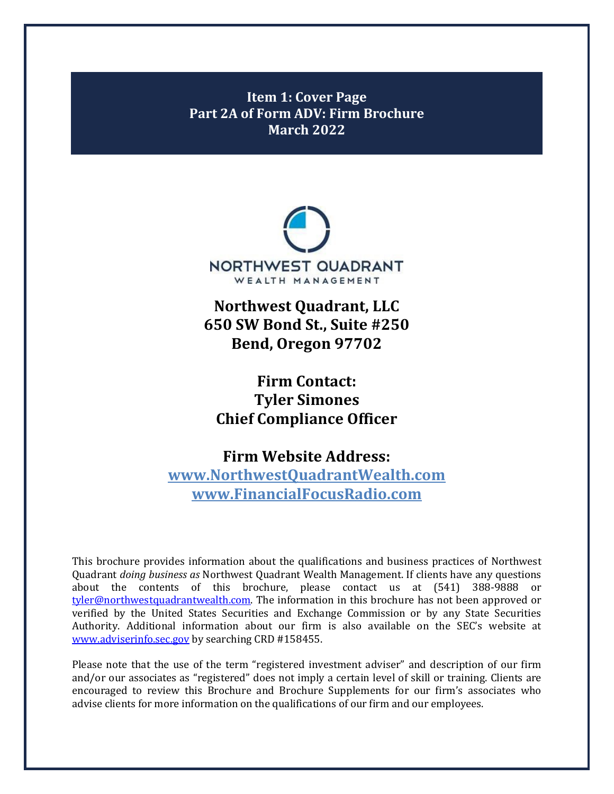<span id="page-0-0"></span>**Item 1: Cover Page Part 2A of Form ADV: Firm Brochure March 2022**



**Northwest Quadrant, LLC 650 SW Bond St., Suite #250 Bend, Oregon 97702**

**Firm Contact: Tyler Simones Chief Compliance Officer**

**Firm Website Address: [www.NorthwestQuadrantWealth.com](http://www.northwestquadrantwealth.com/) [www.FinancialFocusRadio.com](http://www.financialfocusradio.com/)**

This brochure provides information about the qualifications and business practices of Northwest Quadrant *doing business as* Northwest Quadrant Wealth Management. If clients have any questions about the contents of this brochure, please contact us at (541) 388-9888 or [tyler@northwestquadrantwealth.com.](mailto:tyler@northwestquadrantwealth.com) The information in this brochure has not been approved or verified by the United States Securities and Exchange Commission or by any State Securities Authority. Additional information about our firm is also available on the SEC's website at [www.adviserinfo.sec.gov](http://www.adviserinfo.sec.gov/) by searching CRD #158455.

Please note that the use of the term "registered investment adviser" and description of our firm and/or our associates as "registered" does not imply a certain level of skill or training. Clients are encouraged to review this Brochure and Brochure Supplements for our firm's associates who advise clients for more information on the qualifications of our firm and our employees.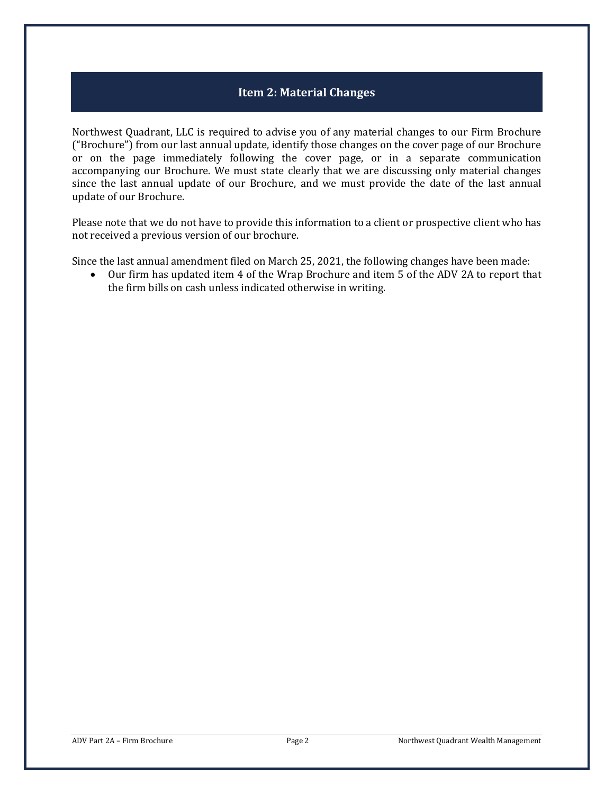# **Item 2: Material Changes**

<span id="page-1-0"></span>Northwest Quadrant, LLC is required to advise you of any material changes to our Firm Brochure ("Brochure") from our last annual update, identify those changes on the cover page of our Brochure or on the page immediately following the cover page, or in a separate communication accompanying our Brochure. We must state clearly that we are discussing only material changes since the last annual update of our Brochure, and we must provide the date of the last annual update of our Brochure.

Please note that we do not have to provide this information to a client or prospective client who has not received a previous version of our brochure.

Since the last annual amendment filed on March 25, 2021, the following changes have been made:<br>• Our firm has updated item 4 of the Wrap Brochure and item 5 of the ADV 2A to report the

• Our firm has updated item 4 of the Wrap Brochure and item 5 of the ADV 2A to report that the firm bills on cash unless indicated otherwise in writing.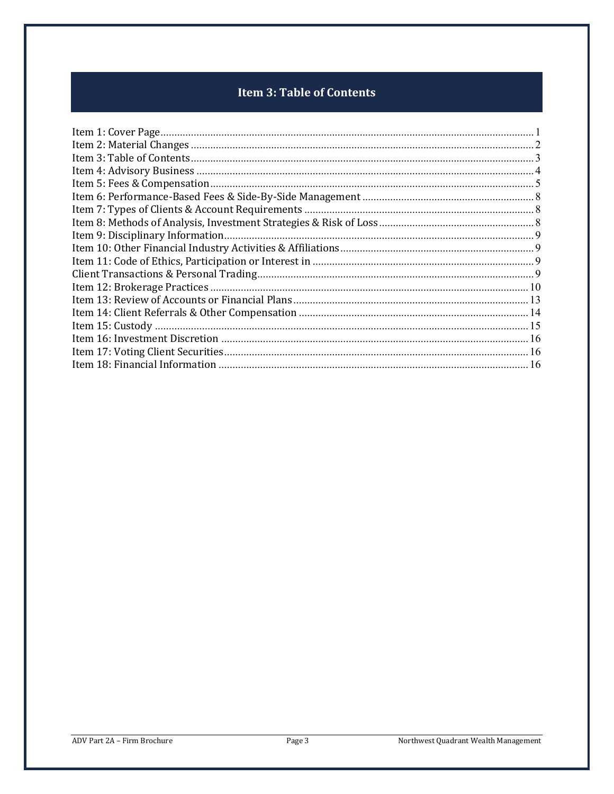# **Item 3: Table of Contents**

<span id="page-2-0"></span>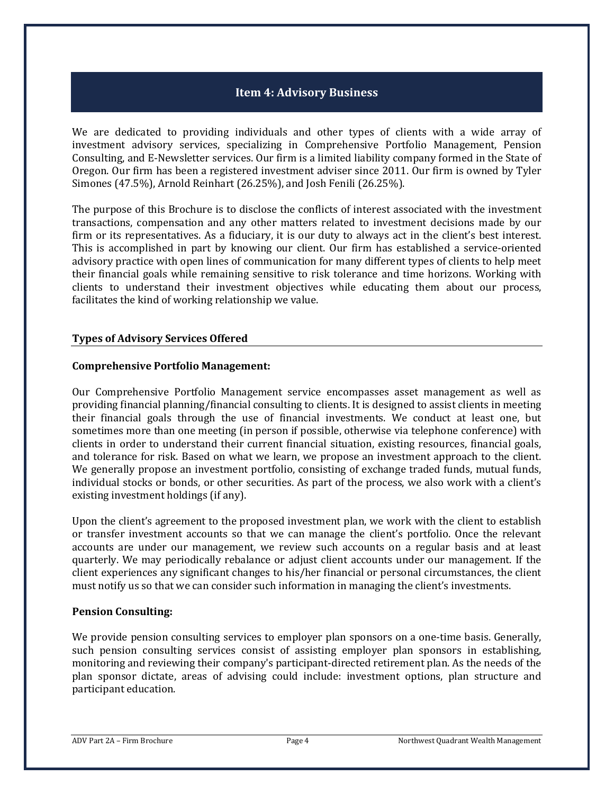### **Item 4: Advisory Business**

<span id="page-3-0"></span>We are dedicated to providing individuals and other types of clients with a wide array of investment advisory services, specializing in Comprehensive Portfolio Management, Pension Consulting, and E-Newsletter services. Our firm is a limited liability company formed in the State of Oregon. Our firm has been a registered investment adviser since 2011. Our firm is owned by Tyler Simones (47.5%), Arnold Reinhart (26.25%), and Josh Fenili (26.25%).

The purpose of this Brochure is to disclose the conflicts of interest associated with the investment transactions, compensation and any other matters related to investment decisions made by our firm or its representatives. As a fiduciary, it is our duty to always act in the client's best interest. This is accomplished in part by knowing our client. Our firm has established a service-oriented advisory practice with open lines of communication for many different types of clients to help meet their financial goals while remaining sensitive to risk tolerance and time horizons. Working with clients to understand their investment objectives while educating them about our process, facilitates the kind of working relationship we value.

### **Types of Advisory Services Offered**

### **Comprehensive Portfolio Management:**

Our Comprehensive Portfolio Management service encompasses asset management as well as providing financial planning/financial consulting to clients. It is designed to assist clients in meeting their financial goals through the use of financial investments. We conduct at least one, but sometimes more than one meeting (in person if possible, otherwise via telephone conference) with clients in order to understand their current financial situation, existing resources, financial goals, and tolerance for risk. Based on what we learn, we propose an investment approach to the client. We generally propose an investment portfolio, consisting of exchange traded funds, mutual funds, individual stocks or bonds, or other securities. As part of the process, we also work with a client's existing investment holdings (if any).

Upon the client's agreement to the proposed investment plan, we work with the client to establish or transfer investment accounts so that we can manage the client's portfolio. Once the relevant accounts are under our management, we review such accounts on a regular basis and at least quarterly. We may periodically rebalance or adjust client accounts under our management. If the client experiences any significant changes to his/her financial or personal circumstances, the client must notify us so that we can consider such information in managing the client's investments.

### **Pension Consulting:**

We provide pension consulting services to employer plan sponsors on a one-time basis. Generally, such pension consulting services consist of assisting employer plan sponsors in establishing, monitoring and reviewing their company's participant-directed retirement plan. As the needs of the plan sponsor dictate, areas of advising could include: investment options, plan structure and participant education.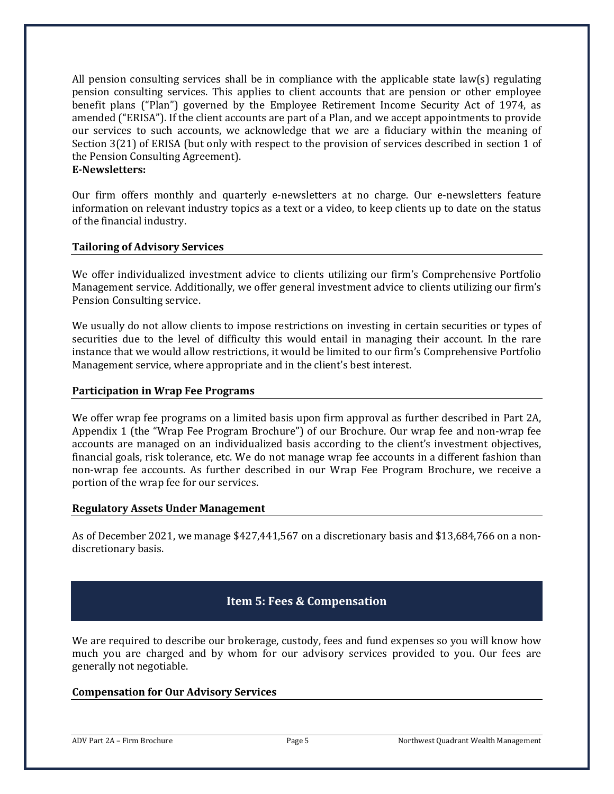All pension consulting services shall be in compliance with the applicable state law(s) regulating pension consulting services. This applies to client accounts that are pension or other employee benefit plans ("Plan") governed by the Employee Retirement Income Security Act of 1974, as amended ("ERISA"). If the client accounts are part of a Plan, and we accept appointments to provide our services to such accounts, we acknowledge that we are a fiduciary within the meaning of Section 3(21) of ERISA (but only with respect to the provision of services described in section 1 of the Pension Consulting Agreement).

#### **E-Newsletters:**

Our firm offers monthly and quarterly e-newsletters at no charge. Our e-newsletters feature information on relevant industry topics as a text or a video, to keep clients up to date on the status of the financial industry.

### **Tailoring of Advisory Services**

We offer individualized investment advice to clients utilizing our firm's Comprehensive Portfolio Management service. Additionally, we offer general investment advice to clients utilizing our firm's Pension Consulting service.

We usually do not allow clients to impose restrictions on investing in certain securities or types of securities due to the level of difficulty this would entail in managing their account. In the rare instance that we would allow restrictions, it would be limited to our firm's Comprehensive Portfolio Management service, where appropriate and in the client's best interest.

### **Participation in Wrap Fee Programs**

We offer wrap fee programs on a limited basis upon firm approval as further described in Part 2A, Appendix 1 (the "Wrap Fee Program Brochure") of our Brochure. Our wrap fee and non-wrap fee accounts are managed on an individualized basis according to the client's investment objectives, financial goals, risk tolerance, etc. We do not manage wrap fee accounts in a different fashion than non-wrap fee accounts. As further described in our Wrap Fee Program Brochure, we receive a portion of the wrap fee for our services.

### **Regulatory Assets Under Management**

As of December 2021, we manage \$427,441,567 on a discretionary basis and \$13,684,766 on a nondiscretionary basis.

# **Item 5: Fees & Compensation**

<span id="page-4-0"></span>We are required to describe our brokerage, custody, fees and fund expenses so you will know how much you are charged and by whom for our advisory services provided to you. Our fees are generally not negotiable.

### **Compensation for Our Advisory Services**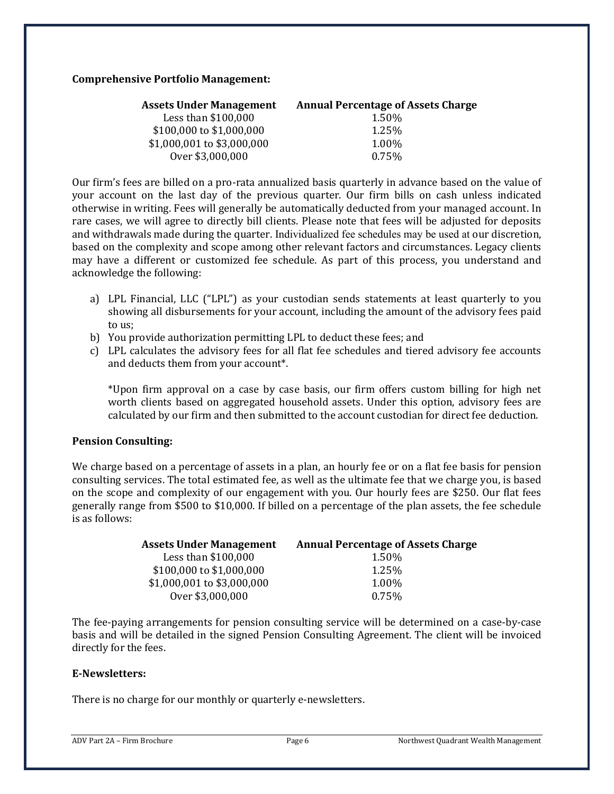#### **Comprehensive Portfolio Management:**

| <b>Assets Under Management</b> | <b>Annual Percentage of Assets Charge</b> |
|--------------------------------|-------------------------------------------|
| Less than \$100,000            | 1.50%                                     |
| \$100,000 to \$1,000,000       | 1.25%                                     |
| \$1,000,001 to \$3,000,000     | 1.00%                                     |
| Over \$3,000,000               | 0.75%                                     |
|                                |                                           |

Our firm's fees are billed on a pro-rata annualized basis quarterly in advance based on the value of your account on the last day of the previous quarter. Our firm bills on cash unless indicated otherwise in writing. Fees will generally be automatically deducted from your managed account. In rare cases, we will agree to directly bill clients. Please note that fees will be adjusted for deposits and withdrawals made during the quarter. Individualized fee schedules may be used at our discretion, based on the complexity and scope among other relevant factors and circumstances. Legacy clients may have a different or customized fee schedule. As part of this process, you understand and acknowledge the following:

- a) LPL Financial, LLC ("LPL") as your custodian sends statements at least quarterly to you showing all disbursements for your account, including the amount of the advisory fees paid to us;
- b) You provide authorization permitting LPL to deduct these fees; and
- c) LPL calculates the advisory fees for all flat fee schedules and tiered advisory fee accounts and deducts them from your account\*.

\*Upon firm approval on a case by case basis, our firm offers custom billing for high net worth clients based on aggregated household assets. Under this option, advisory fees are calculated by our firm and then submitted to the account custodian for direct fee deduction.

### **Pension Consulting:**

We charge based on a percentage of assets in a plan, an hourly fee or on a flat fee basis for pension consulting services. The total estimated fee, as well as the ultimate fee that we charge you, is based on the scope and complexity of our engagement with you. Our hourly fees are \$250. Our flat fees generally range from \$500 to \$10,000. If billed on a percentage of the plan assets, the fee schedule is as follows:

| <b>Assets Under Management</b> | <b>Annual Percentage of Assets Charge</b> |
|--------------------------------|-------------------------------------------|
| Less than \$100,000            | 1.50%                                     |
| \$100,000 to \$1,000,000       | 1.25%                                     |
| \$1,000,001 to \$3,000,000     | 1.00%                                     |
| Over \$3,000,000               | 0.75%                                     |
|                                |                                           |

The fee-paying arrangements for pension consulting service will be determined on a case-by-case basis and will be detailed in the signed Pension Consulting Agreement. The client will be invoiced directly for the fees.

### **E-Newsletters:**

There is no charge for our monthly or quarterly e-newsletters.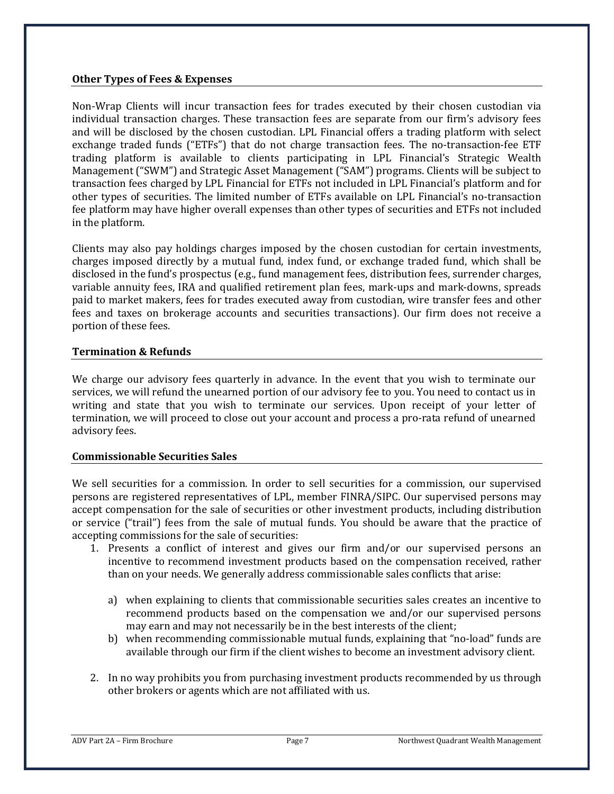### **Other Types of Fees & Expenses**

Non-Wrap Clients will incur transaction fees for trades executed by their chosen custodian via individual transaction charges. These transaction fees are separate from our firm's advisory fees and will be disclosed by the chosen custodian. LPL Financial offers a trading platform with select exchange traded funds ("ETFs") that do not charge transaction fees. The no-transaction-fee ETF trading platform is available to clients participating in LPL Financial's Strategic Wealth Management ("SWM") and Strategic Asset Management ("SAM") programs. Clients will be subject to transaction fees charged by LPL Financial for ETFs not included in LPL Financial's platform and for other types of securities. The limited number of ETFs available on LPL Financial's no-transaction fee platform may have higher overall expenses than other types of securities and ETFs not included in the platform.

Clients may also pay holdings charges imposed by the chosen custodian for certain investments, charges imposed directly by a mutual fund, index fund, or exchange traded fund, which shall be disclosed in the fund's prospectus (e.g., fund management fees, distribution fees, surrender charges, variable annuity fees, IRA and qualified retirement plan fees, mark-ups and mark-downs, spreads paid to market makers, fees for trades executed away from custodian, wire transfer fees and other fees and taxes on brokerage accounts and securities transactions). Our firm does not receive a portion of these fees.

### **Termination & Refunds**

We charge our advisory fees quarterly in advance. In the event that you wish to terminate our services, we will refund the unearned portion of our advisory fee to you. You need to contact us in writing and state that you wish to terminate our services. Upon receipt of your letter of termination, we will proceed to close out your account and process a pro-rata refund of unearned advisory fees.

### **Commissionable Securities Sales**

We sell securities for a commission. In order to sell securities for a commission, our supervised persons are registered representatives of LPL, member FINRA/SIPC. Our supervised persons may accept compensation for the sale of securities or other investment products, including distribution or service ("trail") fees from the sale of mutual funds. You should be aware that the practice of accepting commissions for the sale of securities:

- 1. Presents a conflict of interest and gives our firm and/or our supervised persons an incentive to recommend investment products based on the compensation received, rather than on your needs. We generally address commissionable sales conflicts that arise:
	- a) when explaining to clients that commissionable securities sales creates an incentive to recommend products based on the compensation we and/or our supervised persons may earn and may not necessarily be in the best interests of the client;
	- b) when recommending commissionable mutual funds, explaining that "no-load" funds are available through our firm if the client wishes to become an investment advisory client.
- 2. In no way prohibits you from purchasing investment products recommended by us through other brokers or agents which are not affiliated with us.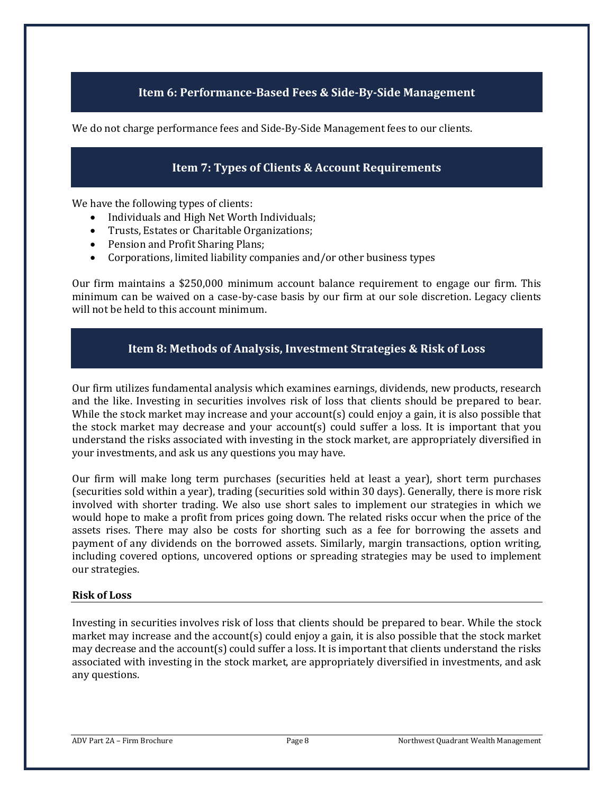## **Item 6: Performance-Based Fees & Side-By-Side Management**

<span id="page-7-1"></span><span id="page-7-0"></span>We do not charge performance fees and Side-By-Side Management fees to our clients.

## **Item 7: Types of Clients & Account Requirements**

We have the following types of clients:

- Individuals and High Net Worth Individuals;
- Trusts, Estates or Charitable Organizations;
- Pension and Profit Sharing Plans;<br>• Corporations, limited liability con
- Corporations, limited liability companies and/or other business types

Our firm maintains a \$250,000 minimum account balance requirement to engage our firm. This minimum can be waived on a case-by-case basis by our firm at our sole discretion. Legacy clients will not be held to this account minimum.

### **Item 8: Methods of Analysis, Investment Strategies & Risk of Loss**

<span id="page-7-2"></span>Our firm utilizes fundamental analysis which examines earnings, dividends, new products, research and the like. Investing in securities involves risk of loss that clients should be prepared to bear. While the stock market may increase and your account(s) could enjoy a gain, it is also possible that the stock market may decrease and your account(s) could suffer a loss. It is important that you understand the risks associated with investing in the stock market, are appropriately diversified in your investments, and ask us any questions you may have.

Our firm will make long term purchases (securities held at least a year), short term purchases (securities sold within a year), trading (securities sold within 30 days). Generally, there is more risk involved with shorter trading. We also use short sales to implement our strategies in which we would hope to make a profit from prices going down. The related risks occur when the price of the assets rises. There may also be costs for shorting such as a fee for borrowing the assets and payment of any dividends on the borrowed assets. Similarly, margin transactions, option writing, including covered options, uncovered options or spreading strategies may be used to implement our strategies.

### **Risk of Loss**

Investing in securities involves risk of loss that clients should be prepared to bear. While the stock market may increase and the account(s) could enjoy a gain, it is also possible that the stock market may decrease and the account(s) could suffer a loss. It is important that clients understand the risks associated with investing in the stock market, are appropriately diversified in investments, and ask any questions.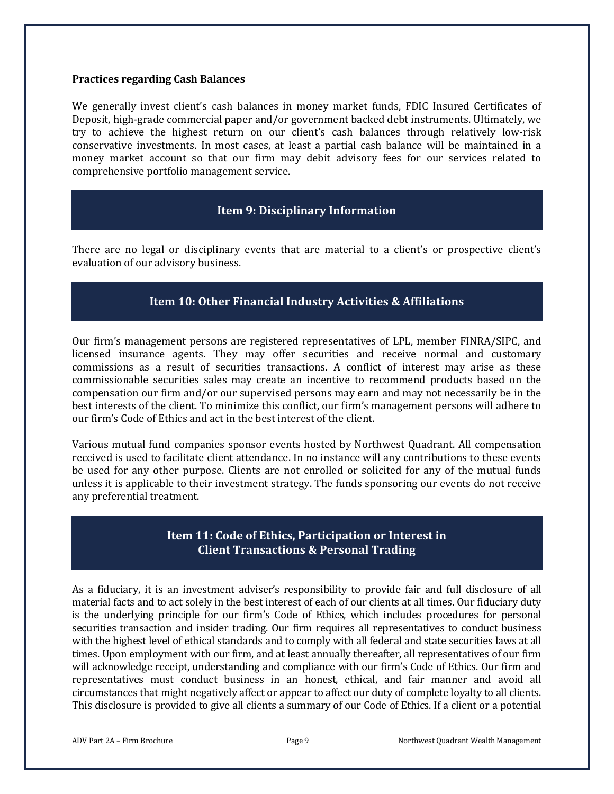### **Practices regarding Cash Balances**

We generally invest client's cash balances in money market funds, FDIC Insured Certificates of Deposit, high-grade commercial paper and/or government backed debt instruments. Ultimately, we try to achieve the highest return on our client's cash balances through relatively low-risk conservative investments. In most cases, at least a partial cash balance will be maintained in a money market account so that our firm may debit advisory fees for our services related to comprehensive portfolio management service.

### **Item 9: Disciplinary Information**

<span id="page-8-0"></span>There are no legal or disciplinary events that are material to a client's or prospective client's evaluation of our advisory business.

### **Item 10: Other Financial Industry Activities & Affiliations**

<span id="page-8-1"></span>Our firm's management persons are registered representatives of LPL, member FINRA/SIPC, and licensed insurance agents. They may offer securities and receive normal and customary commissions as a result of securities transactions. A conflict of interest may arise as these commissionable securities sales may create an incentive to recommend products based on the compensation our firm and/or our supervised persons may earn and may not necessarily be in the best interests of the client. To minimize this conflict, our firm's management persons will adhere to our firm's Code of Ethics and act in the best interest of the client.

Various mutual fund companies sponsor events hosted by Northwest Quadrant. All compensation received is used to facilitate client attendance. In no instance will any contributions to these events be used for any other purpose. Clients are not enrolled or solicited for any of the mutual funds unless it is applicable to their investment strategy. The funds sponsoring our events do not receive any preferential treatment.

### **Item 11: Code of Ethics, Participation or Interest in Client Transactions & Personal Trading**

<span id="page-8-3"></span><span id="page-8-2"></span>As a fiduciary, it is an investment adviser's responsibility to provide fair and full disclosure of all material facts and to act solely in the best interest of each of our clients at all times. Our fiduciary duty is the underlying principle for our firm's Code of Ethics, which includes procedures for personal securities transaction and insider trading. Our firm requires all representatives to conduct business with the highest level of ethical standards and to comply with all federal and state securities laws at all times. Upon employment with our firm, and at least annually thereafter, all representatives of our firm will acknowledge receipt, understanding and compliance with our firm's Code of Ethics. Our firm and representatives must conduct business in an honest, ethical, and fair manner and avoid all circumstances that might negatively affect or appear to affect our duty of complete loyalty to all clients. This disclosure is provided to give all clients a summary of our Code of Ethics. If a client or a potential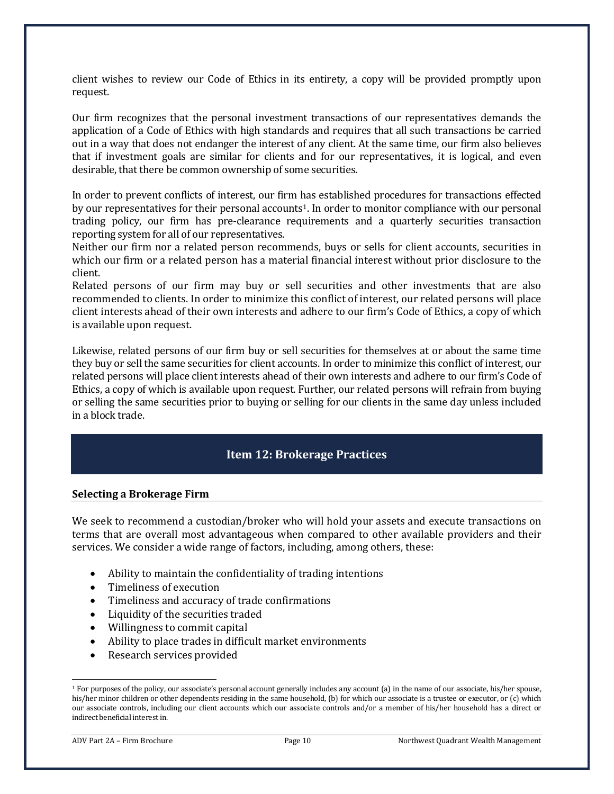client wishes to review our Code of Ethics in its entirety, a copy will be provided promptly upon request.

Our firm recognizes that the personal investment transactions of our representatives demands the application of a Code of Ethics with high standards and requires that all such transactions be carried out in a way that does not endanger the interest of any client. At the same time, our firm also believes that if investment goals are similar for clients and for our representatives, it is logical, and even desirable, that there be common ownership of some securities.

In order to prevent conflicts of interest, our firm has established procedures for transactions effected by our representatives for their personal accounts<sup>[1](#page-9-1)</sup>. In order to monitor compliance with our personal trading policy, our firm has pre-clearance requirements and a quarterly securities transaction reporting system for all of our representatives.

Neither our firm nor a related person recommends, buys or sells for client accounts, securities in which our firm or a related person has a material financial interest without prior disclosure to the client.

Related persons of our firm may buy or sell securities and other investments that are also recommended to clients. In order to minimize this conflict of interest, our related persons will place client interests ahead of their own interests and adhere to our firm's Code of Ethics, a copy of which is available upon request.

Likewise, related persons of our firm buy or sell securities for themselves at or about the same time they buy or sell the same securities for client accounts. In order to minimize this conflict of interest, our related persons will place client interests ahead of their own interests and adhere to our firm's Code of Ethics, a copy of which is available upon request. Further, our related persons will refrain from buying or selling the same securities prior to buying or selling for our clients in the same day unless included in a block trade.

### **Item 12: Brokerage Practices**

### <span id="page-9-0"></span>**Selecting a Brokerage Firm**

We seek to recommend a custodian/broker who will hold your assets and execute transactions on terms that are overall most advantageous when compared to other available providers and their services. We consider a wide range of factors, including, among others, these:

- Ability to maintain the confidentiality of trading intentions
- Timeliness of execution
- Timeliness and accuracy of trade confirmations
- Liquidity of the securities traded
- Willingness to commit capital
- Ability to place trades in difficult market environments
- Research services provided

<span id="page-9-1"></span><sup>&</sup>lt;sup>1</sup> For purposes of the policy, our associate's personal account generally includes any account (a) in the name of our associate, his/her spouse, his/her minor children or other dependents residing in the same household, (b) for which our associate is a trustee or executor, or (c) which our associate controls, including our client accounts which our associate controls and/or a member of his/her household has a direct or indirect beneficial interest in.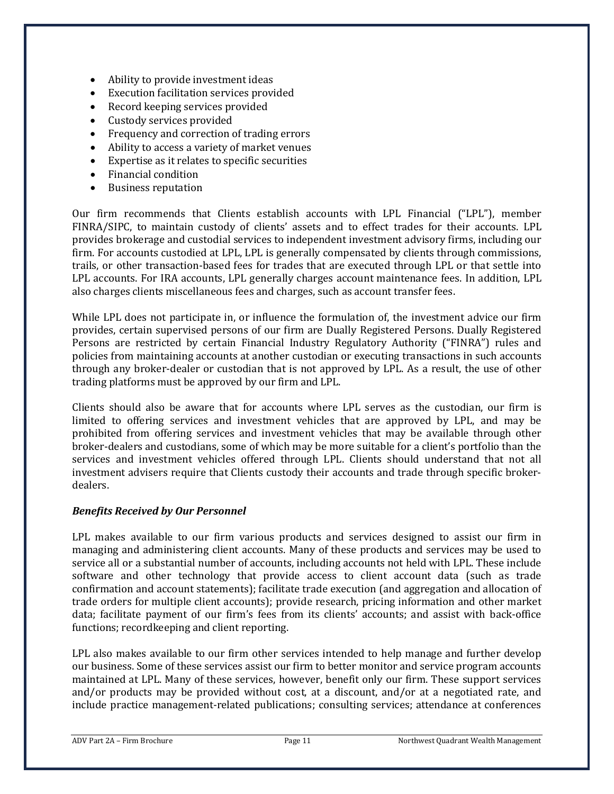- Ability to provide investment ideas
- Execution facilitation services provided
- Record keeping services provided
- Custody services provided
- Frequency and correction of trading errors
- Ability to access a variety of market venues
- Expertise as it relates to specific securities
- Financial condition
- Business reputation

Our firm recommends that Clients establish accounts with LPL Financial ("LPL"), member FINRA/SIPC, to maintain custody of clients' assets and to effect trades for their accounts. LPL provides brokerage and custodial services to independent investment advisory firms, including our firm. For accounts custodied at LPL, LPL is generally compensated by clients through commissions, trails, or other transaction-based fees for trades that are executed through LPL or that settle into LPL accounts. For IRA accounts, LPL generally charges account maintenance fees. In addition, LPL also charges clients miscellaneous fees and charges, such as account transfer fees.

While LPL does not participate in, or influence the formulation of, the investment advice our firm provides, certain supervised persons of our firm are Dually Registered Persons. Dually Registered Persons are restricted by certain Financial Industry Regulatory Authority ("FINRA") rules and policies from maintaining accounts at another custodian or executing transactions in such accounts through any broker-dealer or custodian that is not approved by LPL. As a result, the use of other trading platforms must be approved by our firm and LPL.

Clients should also be aware that for accounts where LPL serves as the custodian, our firm is limited to offering services and investment vehicles that are approved by LPL, and may be prohibited from offering services and investment vehicles that may be available through other broker-dealers and custodians, some of which may be more suitable for a client's portfolio than the services and investment vehicles offered through LPL. Clients should understand that not all investment advisers require that Clients custody their accounts and trade through specific brokerdealers.

### *Benefits Received by Our Personnel*

LPL makes available to our firm various products and services designed to assist our firm in managing and administering client accounts. Many of these products and services may be used to service all or a substantial number of accounts, including accounts not held with LPL. These include software and other technology that provide access to client account data (such as trade confirmation and account statements); facilitate trade execution (and aggregation and allocation of trade orders for multiple client accounts); provide research, pricing information and other market data; facilitate payment of our firm's fees from its clients' accounts; and assist with back-office functions; recordkeeping and client reporting.

LPL also makes available to our firm other services intended to help manage and further develop our business. Some of these services assist our firm to better monitor and service program accounts maintained at LPL. Many of these services, however, benefit only our firm. These support services and/or products may be provided without cost, at a discount, and/or at a negotiated rate, and include practice management-related publications; consulting services; attendance at conferences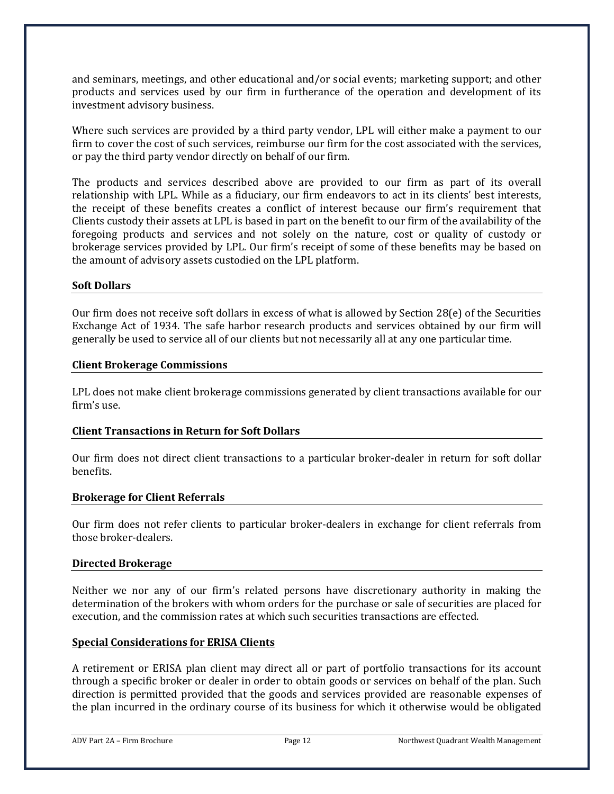and seminars, meetings, and other educational and/or social events; marketing support; and other products and services used by our firm in furtherance of the operation and development of its investment advisory business.

Where such services are provided by a third party vendor, LPL will either make a payment to our firm to cover the cost of such services, reimburse our firm for the cost associated with the services, or pay the third party vendor directly on behalf of our firm.

The products and services described above are provided to our firm as part of its overall relationship with LPL. While as a fiduciary, our firm endeavors to act in its clients' best interests, the receipt of these benefits creates a conflict of interest because our firm's requirement that Clients custody their assets at LPL is based in part on the benefit to our firm of the availability of the foregoing products and services and not solely on the nature, cost or quality of custody or brokerage services provided by LPL. Our firm's receipt of some of these benefits may be based on the amount of advisory assets custodied on the LPL platform.

### **Soft Dollars**

Our firm does not receive soft dollars in excess of what is allowed by Section 28(e) of the Securities Exchange Act of 1934. The safe harbor research products and services obtained by our firm will generally be used to service all of our clients but not necessarily all at any one particular time.

### **Client Brokerage Commissions**

LPL does not make client brokerage commissions generated by client transactions available for our firm's use.

### **Client Transactions in Return for Soft Dollars**

Our firm does not direct client transactions to a particular broker-dealer in return for soft dollar benefits.

### **Brokerage for Client Referrals**

Our firm does not refer clients to particular broker-dealers in exchange for client referrals from those broker-dealers.

### **Directed Brokerage**

Neither we nor any of our firm's related persons have discretionary authority in making the determination of the brokers with whom orders for the purchase or sale of securities are placed for execution, and the commission rates at which such securities transactions are effected.

### **Special Considerations for ERISA Clients**

A retirement or ERISA plan client may direct all or part of portfolio transactions for its account through a specific broker or dealer in order to obtain goods or services on behalf of the plan. Such direction is permitted provided that the goods and services provided are reasonable expenses of the plan incurred in the ordinary course of its business for which it otherwise would be obligated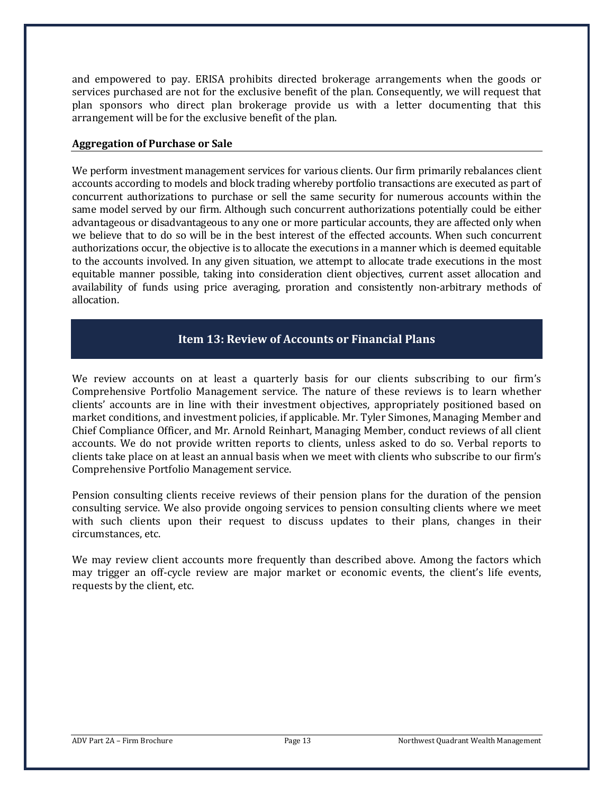and empowered to pay. ERISA prohibits directed brokerage arrangements when the goods or services purchased are not for the exclusive benefit of the plan. Consequently, we will request that plan sponsors who direct plan brokerage provide us with a letter documenting that this arrangement will be for the exclusive benefit of the plan.

### **Aggregation of Purchase or Sale**

We perform investment management services for various clients. Our firm primarily rebalances client accounts according to models and block trading whereby portfolio transactions are executed as part of concurrent authorizations to purchase or sell the same security for numerous accounts within the same model served by our firm. Although such concurrent authorizations potentially could be either advantageous or disadvantageous to any one or more particular accounts, they are affected only when we believe that to do so will be in the best interest of the effected accounts. When such concurrent authorizations occur, the objective is to allocate the executions in a manner which is deemed equitable to the accounts involved. In any given situation, we attempt to allocate trade executions in the most equitable manner possible, taking into consideration client objectives, current asset allocation and availability of funds using price averaging, proration and consistently non-arbitrary methods of allocation.

# **Item 13: Review of Accounts or Financial Plans**

<span id="page-12-0"></span>We review accounts on at least a quarterly basis for our clients subscribing to our firm's Comprehensive Portfolio Management service. The nature of these reviews is to learn whether clients' accounts are in line with their investment objectives, appropriately positioned based on market conditions, and investment policies, if applicable. Mr. Tyler Simones, Managing Member and Chief Compliance Officer, and Mr. Arnold Reinhart, Managing Member, conduct reviews of all client accounts. We do not provide written reports to clients, unless asked to do so. Verbal reports to clients take place on at least an annual basis when we meet with clients who subscribe to our firm's Comprehensive Portfolio Management service.

Pension consulting clients receive reviews of their pension plans for the duration of the pension consulting service. We also provide ongoing services to pension consulting clients where we meet with such clients upon their request to discuss updates to their plans, changes in their circumstances, etc.

We may review client accounts more frequently than described above. Among the factors which may trigger an off-cycle review are major market or economic events, the client's life events, requests by the client, etc.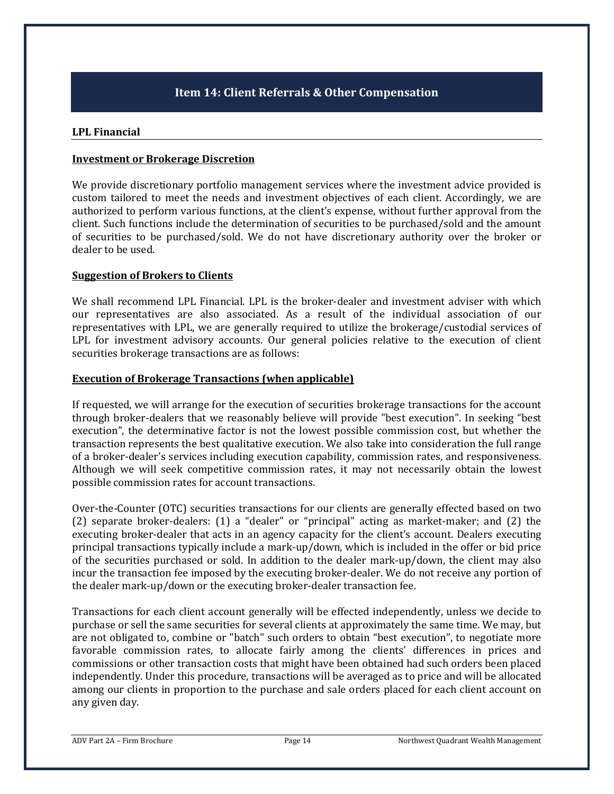# **Item 14: Client Referrals & Other Compensation**

#### <span id="page-13-0"></span>**LPL Financial**

#### **Investment or Brokerage Discretion**

We provide discretionary portfolio management services where the investment advice provided is custom tailored to meet the needs and investment objectives of each client. Accordingly, we are authorized to perform various functions, at the client's expense, without further approval from the client. Such functions include the determination of securities to be purchased/sold and the amount of securities to be purchased/sold. We do not have discretionary authority over the broker or dealer to be used.

### **Suggestion of Brokers to Clients**

We shall recommend LPL Financial. LPL is the broker-dealer and investment adviser with which our representatives are also associated. As a result of the individual association of our representatives with LPL, we are generally required to utilize the brokerage/custodial services of LPL for investment advisory accounts. Our general policies relative to the execution of client securities brokerage transactions are as follows:

### **Execution of Brokerage Transactions (when applicable)**

If requested, we will arrange for the execution of securities brokerage transactions for the account through broker-dealers that we reasonably believe will provide "best execution". In seeking "best execution", the determinative factor is not the lowest possible commission cost, but whether the transaction represents the best qualitative execution. We also take into consideration the full range of a broker-dealer's services including execution capability, commission rates, and responsiveness. Although we will seek competitive commission rates, it may not necessarily obtain the lowest possible commission rates for account transactions.

Over-the-Counter (OTC) securities transactions for our clients are generally effected based on two (2) separate broker-dealers: (1) a "dealer" or "principal" acting as market-maker; and (2) the executing broker-dealer that acts in an agency capacity for the client's account. Dealers executing principal transactions typically include a mark-up/down, which is included in the offer or bid price of the securities purchased or sold. In addition to the dealer mark-up/down, the client may also incur the transaction fee imposed by the executing broker-dealer. We do not receive any portion of the dealer mark-up/down or the executing broker-dealer transaction fee.

Transactions for each client account generally will be effected independently, unless we decide to purchase or sell the same securities for several clients at approximately the same time. We may, but are not obligated to, combine or "batch" such orders to obtain "best execution", to negotiate more favorable commission rates, to allocate fairly among the clients' differences in prices and commissions or other transaction costs that might have been obtained had such orders been placed independently. Under this procedure, transactions will be averaged as to price and will be allocated among our clients in proportion to the purchase and sale orders placed for each client account on any given day.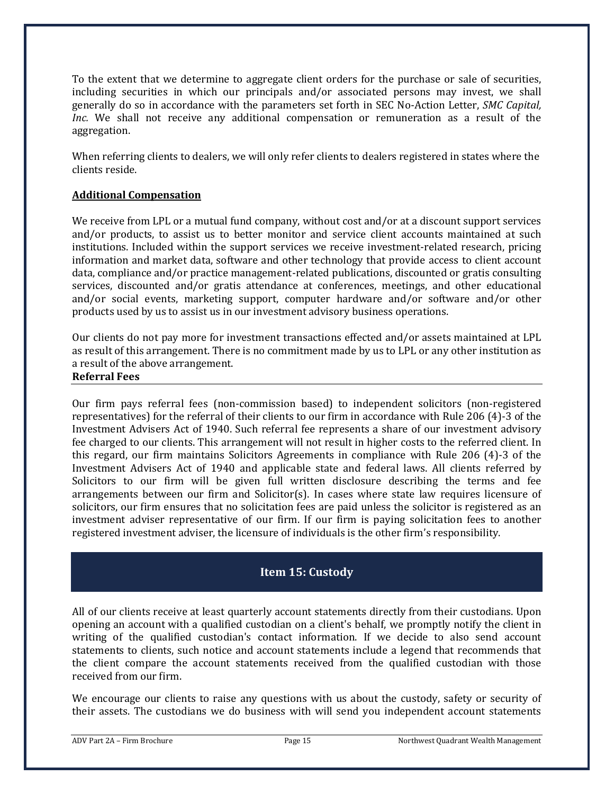To the extent that we determine to aggregate client orders for the purchase or sale of securities, including securities in which our principals and/or associated persons may invest, we shall generally do so in accordance with the parameters set forth in SEC No-Action Letter, *SMC Capital, Inc.* We shall not receive any additional compensation or remuneration as a result of the aggregation.

When referring clients to dealers, we will only refer clients to dealers registered in states where the clients reside.

### **Additional Compensation**

We receive from LPL or a mutual fund company, without cost and/or at a discount support services and/or products, to assist us to better monitor and service client accounts maintained at such institutions. Included within the support services we receive investment-related research, pricing information and market data, software and other technology that provide access to client account data, compliance and/or practice management-related publications, discounted or gratis consulting services, discounted and/or gratis attendance at conferences, meetings, and other educational and/or social events, marketing support, computer hardware and/or software and/or other products used by us to assist us in our investment advisory business operations.

Our clients do not pay more for investment transactions effected and/or assets maintained at LPL as result of this arrangement. There is no commitment made by us to LPL or any other institution as a result of the above arrangement.

#### **Referral Fees**

Our firm pays referral fees (non-commission based) to independent solicitors (non-registered representatives) for the referral of their clients to our firm in accordance with Rule 206 (4)-3 of the Investment Advisers Act of 1940. Such referral fee represents a share of our investment advisory fee charged to our clients. This arrangement will not result in higher costs to the referred client. In this regard, our firm maintains Solicitors Agreements in compliance with Rule 206 (4)-3 of the Investment Advisers Act of 1940 and applicable state and federal laws. All clients referred by Solicitors to our firm will be given full written disclosure describing the terms and fee arrangements between our firm and Solicitor(s). In cases where state law requires licensure of solicitors, our firm ensures that no solicitation fees are paid unless the solicitor is registered as an investment adviser representative of our firm. If our firm is paying solicitation fees to another registered investment adviser, the licensure of individuals is the other firm's responsibility.

### **Item 15: Custody**

<span id="page-14-0"></span>All of our clients receive at least quarterly account statements directly from their custodians. Upon opening an account with a qualified custodian on a client's behalf, we promptly notify the client in writing of the qualified custodian's contact information. If we decide to also send account statements to clients, such notice and account statements include a legend that recommends that the client compare the account statements received from the qualified custodian with those received from our firm.

We encourage our clients to raise any questions with us about the custody, safety or security of their assets. The custodians we do business with will send you independent account statements